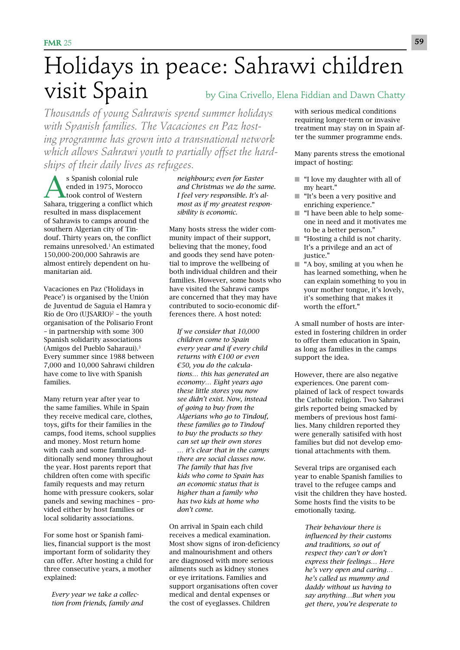## Holidays in peace: Sahrawi children **Visit Spain** by Gina Crivello, Elena Fiddian and Dawn Chatty

*Thousands of young Sahrawis spend summer holidays with Spanish families. The Vacaciones en Paz hosting programme has grown into a transnational network which allows Sahrawi youth to partially offset the hardships of their daily lives as refugees.* 

s Spanish colonial rule ended in 1975, Morocco took control of Western Sahara, triggering a conflict which resulted in mass displacement of Sahrawis to camps around the southern Algerian city of Tindouf. Thirty years on, the conflict remains unresolved.1 An estimated 150,000-200,000 Sahrawis are almost entirely dependent on humanitarian aid.

Vacaciones en Paz ('Holidays in Peace') is organised by the Unión de Juventud de Saguia el Hamra y Río de Oro (UJSARIO)2 – the youth organisation of the Polisario Front – in partnership with some 300 Spanish solidarity associations (Amigos del Pueblo Saharaui).3 Every summer since 1988 between 7,000 and 10,000 Sahrawi children have come to live with Spanish families.

Many return year after year to the same families. While in Spain they receive medical care, clothes, toys, gifts for their families in the camps, food items, school supplies and money. Most return home with cash and some families additionally send money throughout the year. Host parents report that children often come with specific family requests and may return home with pressure cookers, solar panels and sewing machines – provided either by host families or local solidarity associations.

For some host or Spanish families, financial support is the most important form of solidarity they can offer. After hosting a child for three consecutive years, a mother explained:

*Every year we take a collection from friends, family and* 

*neighbours; even for Easter and Christmas we do the same. I feel very responsible. It's almost as if my greatest responsibility is economic.* 

Many hosts stress the wider community impact of their support, believing that the money, food and goods they send have potential to improve the wellbeing of both individual children and their families. However, some hosts who have visited the Sahrawi camps are concerned that they may have contributed to socio-economic differences there. A host noted:

*If we consider that 10,000 children come to Spain every year and if every child returns with €100 or even €50, you do the calculations… this has generated an economy… Eight years ago these little stores you now see didn't exist. Now, instead of going to buy from the Algerians who go to Tindouf, these families go to Tindouf to buy the products so they can set up their own stores … it's clear that in the camps there are social classes now. The family that has five kids who come to Spain has an economic status that is higher than a family who has two kids at home who don't come.* 

On arrival in Spain each child receives a medical examination. Most show signs of iron-deficiency and malnourishment and others are diagnosed with more serious ailments such as kidney stones or eye irritations. Families and support organisations often cover medical and dental expenses or the cost of eyeglasses. Children

with serious medical conditions requiring longer-term or invasive treatment may stay on in Spain after the summer programme ends.

Many parents stress the emotional impact of hosting:

- "I love my daughter with all of my heart."
- "It's been a very positive and enriching experience."
- "I have been able to help someone in need and it motivates me to be a better person."
- "Hosting a child is not charity. It's a privilege and an act of justice."
- "A boy, smiling at you when he has learned something, when he can explain something to you in your mother tongue, it's lovely, it's something that makes it worth the effort."

A small number of hosts are interested in fostering children in order to offer them education in Spain, as long as families in the camps support the idea.

However, there are also negative experiences. One parent complained of lack of respect towards the Catholic religion. Two Sahrawi girls reported being smacked by members of previous host families. Many children reported they were generally satisifed with host families but did not develop emotional attachments with them.

Several trips are organised each year to enable Spanish families to travel to the refugee camps and visit the children they have hosted. Some hosts find the visits to be emotionally taxing.

*Their behaviour there is influenced by their customs and traditions, so out of respect they can't or don't express their feelings… Here he's very open and caring… he's called us mummy and daddy without us having to say anything…But when you get there, you're desperate to*